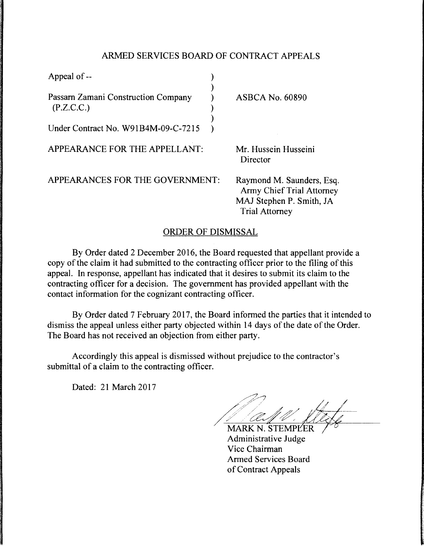## ARMED SERVICES BOARD OF CONTRACT APPEALS

| Appeal of --                                      |                                                                                                                    |
|---------------------------------------------------|--------------------------------------------------------------------------------------------------------------------|
| Passarn Zamani Construction Company<br>(P.Z.C.C.) | <b>ASBCA No. 60890</b>                                                                                             |
| Under Contract No. W91B4M-09-C-7215               |                                                                                                                    |
| APPEARANCE FOR THE APPELLANT:                     | Mr. Hussein Husseini<br>Director                                                                                   |
| APPEARANCES FOR THE GOVERNMENT:                   | Raymond M. Saunders, Esq.<br><b>Army Chief Trial Attorney</b><br>MAJ Stephen P. Smith, JA<br><b>Trial Attorney</b> |

## ORDER OF DISMISSAL

By Order dated 2 December 2016, the Board requested that appellant provide a copy of the claim it had submitted to the contracting officer prior to the filing of this appeal. In response, appellant has indicated that it desires to submit its claim to the contracting officer for a decision. The government has provided appellant with the contact information for the cognizant contracting officer.

By Order dated 7 February 2017, the Board informed the parties that it intended to dismiss the appeal unless either party objected within 14 days of the date of the Order. The Board has not received an objection from either party.

Accordingly this appeal is dismissed without prejudice to the contractor's submittal of a claim to the contracting officer.

Dated: 21 March 2017

/ // a: 11/ vtd

MARK N. STEMPLER Administrative Judge Vice Chairman Armed Services Board of Contract Appeals